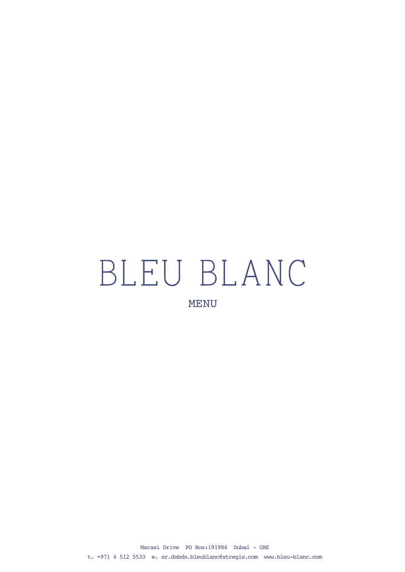## BLEU BLANC MENU

Marasi Drive PO Box:191984 Dubai - UAE t. +971 4 512 5533 e. [sr.dxbdx.bleublanc@stregis.com](mailto:sr.dxbdx.bleublanc@stregis.com) <www.bleu-blanc.com>